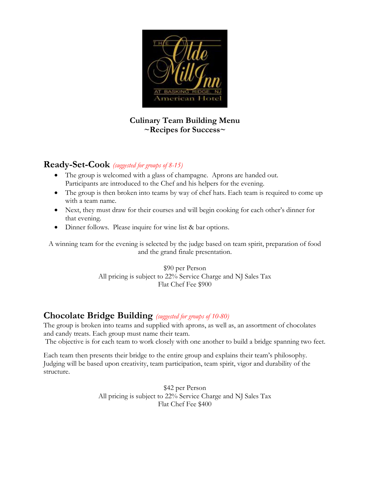

#### **Culinary Team Building Menu ~Recipes for Success~**

### **Ready-Set-Cook** *(suggested for groups of 8-15)*

- • The group is welcomed with a glass of champagne. Aprons are handed out. Participants are introduced to the Chef and his helpers for the evening.
- The group is then broken into teams by way of chef hats. Each team is required to come up with a team name.
- Next, they must draw for their courses and will begin cooking for each other's dinner for that evening.
- Dinner follows. Please inquire for wine list & bar options.

A winning team for the evening is selected by the judge based on team spirit, preparation of food and the grand finale presentation.

> \$90 per Person All pricing is subject to 22% Service Charge and NJ Sales Tax Flat Chef Fee \$900

### **Chocolate Bridge Building** *(suggested for groups of 10-80)*

The group is broken into teams and supplied with aprons, as well as, an assortment of chocolates and candy treats. Each group must name their team.

The objective is for each team to work closely with one another to build a bridge spanning two feet.

 Judging will be based upon creativity, team participation, team spirit, vigor and durability of the Each team then presents their bridge to the entire group and explains their team's philosophy. structure.

> All pricing is subject to 22% Service Charge and NJ Sales Tax \$42 per Person Flat Chef Fee \$400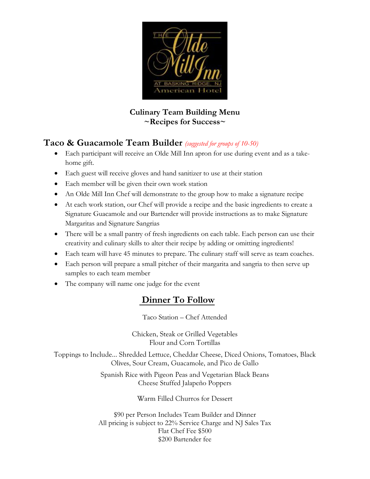

### **Culinary Team Building Menu ~Recipes for Success~**

## **Taco & Guacamole Team Builder** *(suggested for groups of 10-50)*

- Each participant will receive an Olde Mill Inn apron for use during event and as a takehome gift.
- Each guest will receive gloves and hand sanitizer to use at their station
- Each member will be given their own work station
- An Olde Mill Inn Chef will demonstrate to the group how to make a signature recipe
- • At each work station, our Chef will provide a recipe and the basic ingredients to create a Signature Guacamole and our Bartender will provide instructions as to make Signature Margaritas and Signature Sangrias
- There will be a small pantry of fresh ingredients on each table. Each person can use their creativity and culinary skills to alter their recipe by adding or omitting ingredients!
- Each team will have 45 minutes to prepare. The culinary staff will serve as team coaches.
- Each person will prepare a small pitcher of their margarita and sangria to then serve up samples to each team member
- The company will name one judge for the event

# **Dinner To Follow**

Taco Station – Chef Attended

Chicken, Steak or Grilled Vegetables Flour and Corn Tortillas

Olives, Sour Cream, Guacamole, and Pico de Gallo Toppings to Include… Shredded Lettuce, Cheddar Cheese, Diced Onions, Tomatoes, Black

> Spanish Rice with Pigeon Peas and Vegetarian Black Beans Cheese Stuffed Jalapeño Poppers

> > Warm Filled Churros for Dessert

 All pricing is subject to 22% Service Charge and NJ Sales Tax \$90 per Person Includes Team Builder and Dinner Flat Chef Fee \$500 \$200 Bartender fee